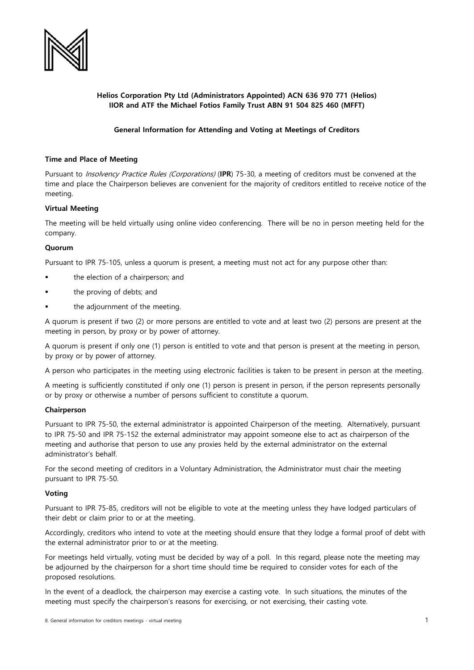

# **Helios Corporation Pty Ltd (Administrators Appointed) ACN 636 970 771 (Helios) IIOR and ATF the Michael Fotios Family Trust ABN 91 504 825 460 (MFFT)**

# **General Information for Attending and Voting at Meetings of Creditors**

## **Time and Place of Meeting**

Pursuant to Insolvency Practice Rules (Corporations) (**IPR**) 75-30, a meeting of creditors must be convened at the time and place the Chairperson believes are convenient for the majority of creditors entitled to receive notice of the meeting.

### **Virtual Meeting**

The meeting will be held virtually using online video conferencing. There will be no in person meeting held for the company.

### **Quorum**

Pursuant to IPR 75-105, unless a quorum is present, a meeting must not act for any purpose other than:

- the election of a chairperson; and
- the proving of debts; and
- the adjournment of the meeting.

A quorum is present if two (2) or more persons are entitled to vote and at least two (2) persons are present at the meeting in person, by proxy or by power of attorney.

A quorum is present if only one (1) person is entitled to vote and that person is present at the meeting in person, by proxy or by power of attorney.

A person who participates in the meeting using electronic facilities is taken to be present in person at the meeting.

A meeting is sufficiently constituted if only one (1) person is present in person, if the person represents personally or by proxy or otherwise a number of persons sufficient to constitute a quorum.

## **Chairperson**

Pursuant to IPR 75-50, the external administrator is appointed Chairperson of the meeting. Alternatively, pursuant to IPR 75-50 and IPR 75-152 the external administrator may appoint someone else to act as chairperson of the meeting and authorise that person to use any proxies held by the external administrator on the external administrator's behalf.

For the second meeting of creditors in a Voluntary Administration, the Administrator must chair the meeting pursuant to IPR 75-50.

#### **Voting**

Pursuant to IPR 75-85, creditors will not be eligible to vote at the meeting unless they have lodged particulars of their debt or claim prior to or at the meeting.

Accordingly, creditors who intend to vote at the meeting should ensure that they lodge a formal proof of debt with the external administrator prior to or at the meeting.

For meetings held virtually, voting must be decided by way of a poll. In this regard, please note the meeting may be adjourned by the chairperson for a short time should time be required to consider votes for each of the proposed resolutions.

In the event of a deadlock, the chairperson may exercise a casting vote. In such situations, the minutes of the meeting must specify the chairperson's reasons for exercising, or not exercising, their casting vote.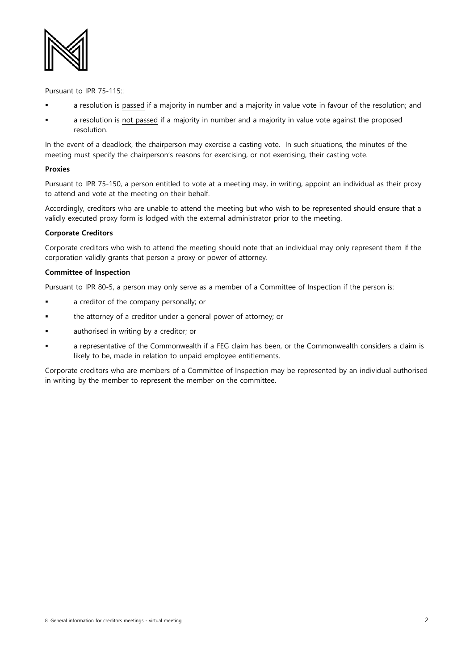

Pursuant to IPR 75-115::

- a resolution is passed if a majority in number and a majority in value vote in favour of the resolution; and
- a resolution is not passed if a majority in number and a majority in value vote against the proposed resolution.

In the event of a deadlock, the chairperson may exercise a casting vote. In such situations, the minutes of the meeting must specify the chairperson's reasons for exercising, or not exercising, their casting vote.

### **Proxies**

Pursuant to IPR 75-150, a person entitled to vote at a meeting may, in writing, appoint an individual as their proxy to attend and vote at the meeting on their behalf.

Accordingly, creditors who are unable to attend the meeting but who wish to be represented should ensure that a validly executed proxy form is lodged with the external administrator prior to the meeting.

## **Corporate Creditors**

Corporate creditors who wish to attend the meeting should note that an individual may only represent them if the corporation validly grants that person a proxy or power of attorney.

### **Committee of Inspection**

Pursuant to IPR 80-5, a person may only serve as a member of a Committee of Inspection if the person is:

- a creditor of the company personally; or
- the attorney of a creditor under a general power of attorney; or
- authorised in writing by a creditor; or
- a representative of the Commonwealth if a FEG claim has been, or the Commonwealth considers a claim is likely to be, made in relation to unpaid employee entitlements.

Corporate creditors who are members of a Committee of Inspection may be represented by an individual authorised in writing by the member to represent the member on the committee.